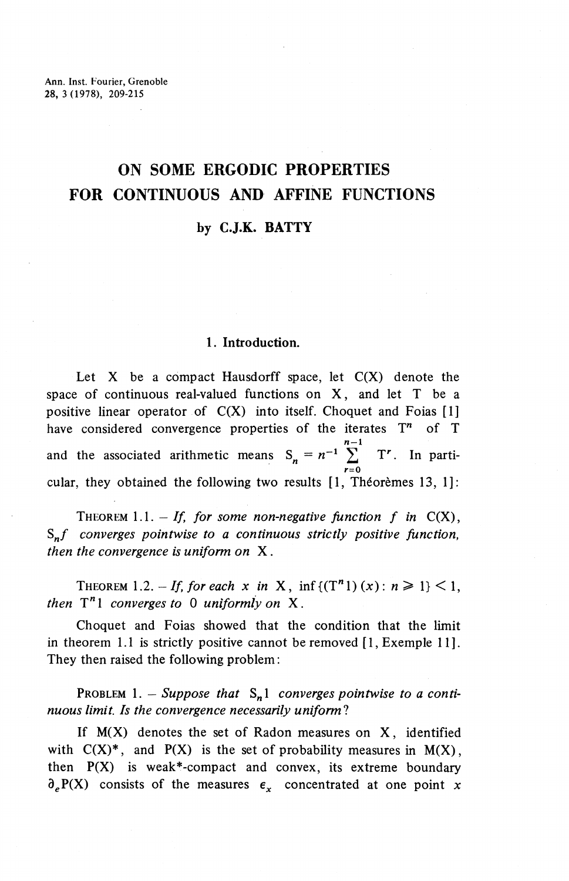# **ON SOME ERGODIC PROPERTIES FOR CONTINUOUS AND AFFINE FUNCTIONS**

## **by CJ.K. BATTY**

### **1. Introduction.**

Let  $X$  be a compact Hausdorff space, let  $C(X)$  denote the space of continuous real-valued functions on **X,** and let T be a positive linear operator of  $C(X)$  into itself. Choquet and Foias [1] have considered convergence properties of the iterates  $T<sup>n</sup>$  of T  $\frac{n-1}{n-1}$ and the associated arithmetic means  $S_n = n^{-1} \sum_{r=0}^{n-1} T^r$ . In particular, they obtained the following two results  $[1,$  Theoremes 13, 1]:

THEOREM 1.1.  $-$  If, for some non-negative function f in  $C(X)$ , *S^f converges pointwise to a continuous strictly positive function, then the convergence is uniform on* X.

THEOREM 1.2. - If, for each x in X, inf  $\{(T^n 1)(x) : n \ge 1\}$  < 1, *then* T"l *converges to 0 uniformly on* X.

Choquet and Foias showed that the condition that the limit in theorem 1.1 is strictly positive cannot be removed [1, Exemple 11]. They then raised the following problem:

PROBLEM 1. – Suppose that  $S_n$ 1 converges pointwise to a conti*nuous limit. Is the convergence necessarily uniform!*

If  $M(X)$  denotes the set of Radon measures on X, identified with  $C(X)^*$ , and  $P(X)$  is the set of probability measures in  $M(X)$ , then  $P(X)$  is weak\*-compact and convex, its extreme boundary  $\partial_{\rho}P(X)$  consists of the measures  $\epsilon_{x}$  concentrated at one point x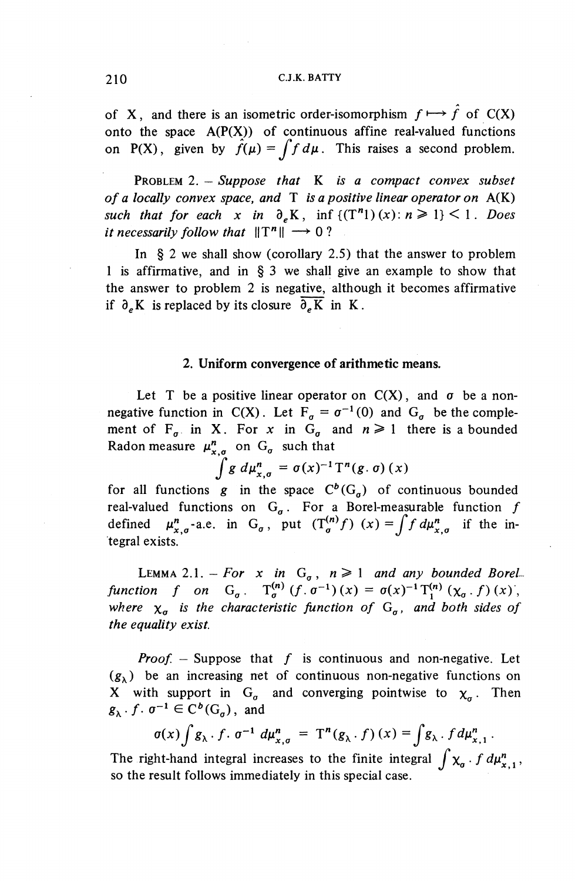#### 210 C.J.K. BATTY

of X, and there is an isometric order-isomorphism  $f \mapsto \hat{f}$  of C(X) onto the space  $A(P(X))$  of continuous affine real-valued functions on P(X), given by  $\hat{f}(\mu) = \int f d\mu$ . This raises a second problem.

PROBLEM 2. — *Suppose that* K *is a compact convex subset of a locally convex space, and* T *is a positive linear operator on* A(K) *such that for each* x in  $\partial_{\rho} K$ , inf  ${((T^n_1)(x): n \geq 1)} < 1$ . Does *it necessarily follow that*  $||T^n|| \rightarrow 0$ ?

In § 2 we shall show (corollary 2.5) that the answer to problem 1 is affirmative, and in § 3 we shall give an example to show that the answer to problem 2 is negative, although it becomes affirmative if  $\partial_{\rho}K$  is replaced by its closure  $\overline{\partial_{\rho}K}$  in K.

#### **2. Uniform convergence of arithmetic means.**

Let T be a positive linear operator on  $C(X)$ , and  $\sigma$  be a nonnegative function in C(X). Let  $F_q = \sigma^{-1}(0)$  and  $G_q$  be the complement of  $F_{\sigma}$  in X. For x in  $G_{\sigma}$  and  $n \ge 1$  there is a bounded ment of  $F_{\sigma}$  in X, For x in  $G_{\sigma}$  is<br>Radon measure  $\mu_{x,\sigma}^{n}$  on  $G_{\sigma}$  such that

$$
\int_{a}^{\sigma} g \ d\mu_{x,\sigma}^{n} = \sigma(x)^{-1} \mathrm{T}^{n}(g,\sigma)(x)
$$

for all functions  $g$  in the space  $C^b(G_g)$  of continuous bounded real-valued functions on  $G_{\sigma}$ . For a Borel-measurable function  $f$ defined  $\mu^n_{x,\sigma}$ -a.e. in G<sub> $\sigma$ </sub>, put  $(T^{(n)}_{\sigma}f)(x)=\int f d\mu^n_{x,\sigma}$  if the integral exists.

LEMMA 2.1. – For x in  $G_{\sigma}$ ,  $n \ge 1$  and any bounded Borel *function f on*  $G_{\sigma}$ .  $T^{(n)}_{\sigma}$  ( $f$ .  $\sigma^{-1}$ ) ( $x$ ) =  $\sigma(x)^{-1} T^{(n)}_{1}$  ( $\chi_{\sigma}$ .  $f$ ) ( $x$ ), where  $\chi_{\sigma}$  is the characteristic function of  $G_{\sigma}$ , and both sides of *the equality exist.*

*Proof.* – Suppose that  $f$  is continuous and non-negative. Let  $(g_{\lambda})$  be an increasing net of continuous non-negative functions on X with support in  $G_{\sigma}$  and converging pointwise to  $\chi_{\sigma}$ . Then  $g_{\lambda}$ .  $f$ .  $\sigma^{-1} \in C^b(G_{\sigma})$ , and

$$
\sigma(x)\int g_{\lambda} \cdot f \cdot \sigma^{-1} d\mu_{x,\sigma}^{n} = T^{n}(g_{\lambda} \cdot f)(x) = \int g_{\lambda} \cdot f d\mu_{x,1}^{n}.
$$

The right-hand integral increases to the finite integral  $\int \chi_o \cdot f d\mu_{x,1}^n$ , so the result follows immediately in this special case.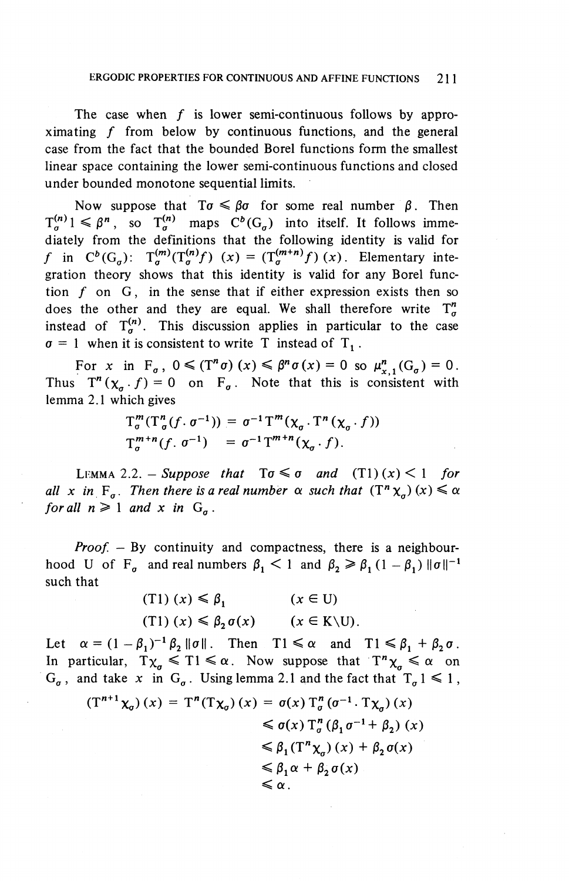The case when  $f$  is lower semi-continuous follows by approximating  $f$  from below by continuous functions, and the general case from the fact that the bounded Borel functions form the smallest linear space containing the lower semi-continuous functions and closed under bounded monotone sequential limits.

Now suppose that  $T\sigma \leq \beta\sigma$  for some real number  $\beta$ . Then  $T^{(n)}_{\sigma}1 \leq \beta^n$ , so  $T^{(n)}_{\sigma}$  maps  $C^b(G_{\sigma})$  into itself. It follows immediately from the definitions that the following identity is valid for f in  $C^b(G_\sigma)$ :  $T^{(m)}_\sigma(T^{(n)}_\sigma f)(x) = (T^{(m+n)}_\sigma f)(x)$ . Elementary integration theory shows that this identity is valid for any Borel function  $f$  on  $G$ , in the sense that if either expression exists then so does the other and they are equal. We shall therefore write  $T^h_{\sigma}$ instead of  $T^{(n)}_{\sigma}$ . This discussion applies in particular to the case  $\sigma = 1$  when it is consistent to write T instead of T<sub>1</sub>.

For *x* in  $F_{\sigma}$ ,  $0 \le (T^n \sigma)$   $(x) \le \beta^n \sigma(x) = 0$  so  $\mu_{x,1}^n(G_{\sigma}) = 0$ . Thus  $T^n(\chi_a \cdot f) = 0$  on  $F_a$ . Note that this is consistent with lemma 2.1 which gives

$$
T_{\sigma}^{m}(T_{\sigma}^{n}(f \cdot \sigma^{-1})) = \sigma^{-1}T^{m}(\chi_{\sigma} \cdot T^{n}(\chi_{\sigma} \cdot f))
$$
  

$$
T_{\sigma}^{m+n}(f \cdot \sigma^{-1}) = \sigma^{-1}T^{m+n}(\chi_{\sigma} \cdot f).
$$

LEMMA 2.2. - *Suppose that*  $To \leq \sigma$  and  $(T1)(x) < 1$  for *all x* in  $F_{\sigma}$ *. Then there is a real number*  $\alpha$  *such that*  $(T^n \chi_{\sigma})$   $(x) \leq \alpha$ *for all*  $n \geq 1$  *and* x *in*  $G_a$ .

*Proof.* – By continuity and compactness, there is a neighbourhood U of F<sub> $\sigma$ </sub> and real numbers  $\beta_1 < 1$  and  $\beta_2 \ge \beta_1 (1 - \beta_1) \|\sigma\|^{-1}$ such that

> (T1)  $(x) \le \beta_1$   $(x \in U)$ (T1)  $(x) \le \beta_2 \sigma(x)$   $(x \in K\setminus U)$ .

Let  $\alpha = (1 - \beta_1)^{-1} \beta_2 ||\sigma||$ . Then  $T1 \le \alpha$  and  $T1 \le \beta_1 + \beta_2 \sigma$ . In particular,  $T\chi_q \leq T1 \leq \alpha$ . Now suppose that  $T^n\chi_q \leq \alpha$  on  $G_{\sigma}$ , and take x in  $G_{\sigma}$ . Using lemma 2.1 and the fact that  $T_{\sigma} 1 \leq 1$ ,

$$
(T^{n+1}\chi_{\sigma})(x) = T^{n}(T\chi_{\sigma})(x) = \sigma(x) T_{\sigma}^{n}(\sigma^{-1} \cdot T\chi_{\sigma})(x)
$$
  
\n
$$
\leq \sigma(x) T_{\sigma}^{n}(\beta_{1}\sigma^{-1} + \beta_{2})(x)
$$
  
\n
$$
\leq \beta_{1}(T^{n}\chi_{\sigma})(x) + \beta_{2}\sigma(x)
$$
  
\n
$$
\leq \beta_{1}\alpha + \beta_{2}\sigma(x)
$$
  
\n
$$
\leq \alpha.
$$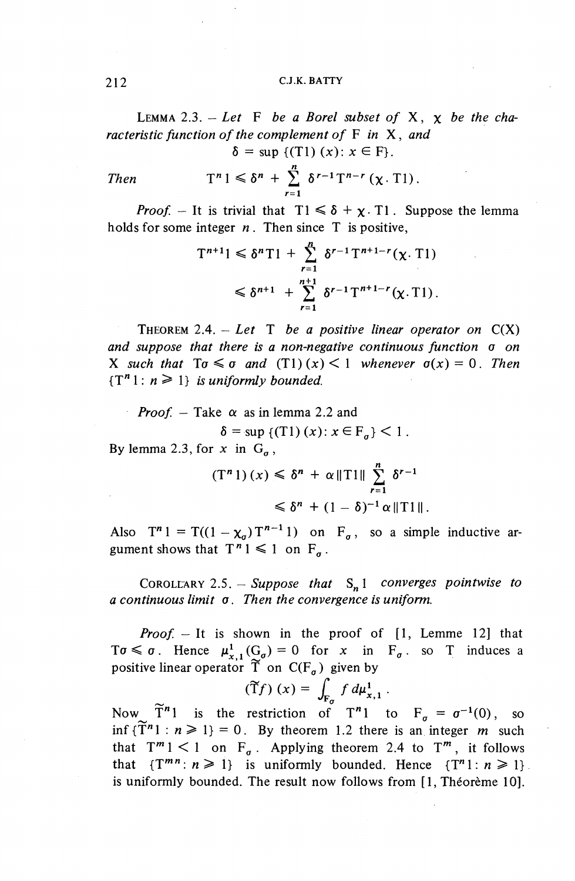#### 212 C.J.K. BATTY

LEMMA 2.3.  $-$  Let F be a Borel subset of X,  $\chi$  be the cha*racteristic function of the complement of* F in X, and  $\delta = \sup \{ (T1) (x) : x \in F \}.$ 

Then 
$$
T^n 1 \leq \delta^n + \sum_{r=1}^n \delta^{r-1} T^{n-r} (\chi, T1).
$$

*Proof.* – It is trivial that  $T1 \le \delta + \chi$ . T1. Suppose the lemma holds for some integer *n*. Then since T is positive,

$$
T^{n+1}1 \leq \delta^n T1 + \sum_{r=1}^n \delta^{r-1} T^{n+1-r}(\chi, T1)
$$
  

$$
\leq \delta^{n+1} + \sum_{r=1}^{n+1} \delta^{r-1} T^{n+1-r}(\chi, T1).
$$

THEOREM 2.4.  $-$  *Let* T *be a positive linear operator on*  $C(X)$ *and suppose that there is a non-negative continuous function a on* X such that  $\text{To} \leq \sigma$  and  $(\text{T1})(x) \leq 1$  whenever  $\sigma(x) = 0$ . Then  ${T<sup>n</sup>1: n \geq 1}$  *is uniformly bounded.* 

*Proof. —* Take *a* as in lemma 2.2 and  $\delta$  = sup {(T1)(x):  $x \in F_{a}$ } < 1. By lemma 2.3, for x in  $G_a$ ,

$$
(T^n 1) (x) \leq \delta^n + \alpha ||T1|| \sum_{r=1}^n \delta^{r-1}
$$
  

$$
\leq \delta^n + (1 - \delta)^{-1} \alpha ||T1||.
$$

Also  $T^n 1 = T((1 - \chi_{\sigma})T^{n-1}1)$  on  $F_{\sigma}$ , so a simple inductive argument shows that  $T^n 1 \leq 1$  on  $F_{\sigma}$ .

COROLEARY 2.5. - Suppose that  $S_n 1$  converges pointwise to *a continuous limit a. Then the convergence is uniform.*

*Proof. —* It is shown in the proof of [1, Lemme 12] that  $T\sigma \leq \sigma$ . Hence  $\mu^1_{x,1}(G_{\sigma}) = 0$  for x in  $F_{\sigma}$  so T induces a positive linear operator  $\widetilde{T}$  on  $C(F_{\sigma})$  given by<br>  $(\widetilde{T}f)(x) = \int_{F} f d\mu_{x,1}^{1}$ .

$$
(\widetilde{T}f)(x) = \int_{F_{\sigma}} f d\mu_{x,1}^1.
$$

Now  $\widetilde{T}^n$ l is the restriction of T"l to F<sub> $\sigma$ </sub> =  $\sigma^{-1}(0)$ , so inf  $\{T^{n} 1 : n \ge 1\} = 0$ . By theorem 1.2 there is an integer *m* such that  $T^m 1 < 1$  on  $F_a$ . Applying theorem 2.4 to  $T^m$ , it follows that  $\{T^{mn}:n\geq 1\}$  is uniformly bounded. Hence  $\{T^n 1: n\geq 1\}$ . is uniformly bounded. The result now follows from [1, Théorème 10].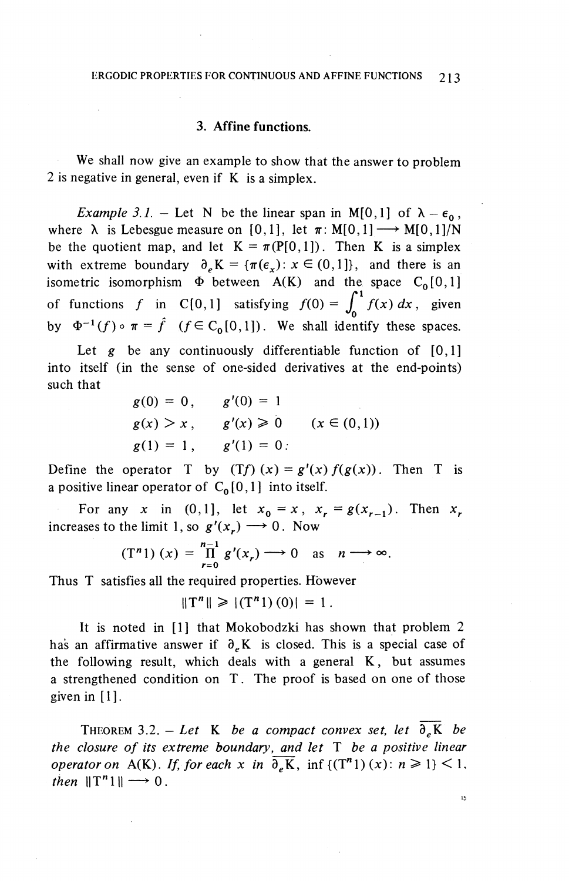#### **3. Affine functions.**

We shall now give an example to show that the answer to problem 2 is negative in general, even if K is a simplex.

*Example 3.1.* – Let N be the linear span in M[0,1] of  $\lambda - \epsilon_0$ , where  $\lambda$  is Lebesgue measure on [0,1], let  $\pi: M[0,1] \longrightarrow M[0,1]/N$ be the quotient map, and let  $K = \pi(P[0,1])$ . Then K is a simplex with extreme boundary  $\partial_{e} K = {\pi(\epsilon_x) : x \in (0,1]}$ , and there is an isometric isomorphism  $\Phi$  between A(K) and the space C<sub>0</sub>[0,1] formative isomorphism. The second relation of  $f$  in C[0,1] satisfying  $f(0) = \int_0^1 f(x) dx$ , given by  $\Phi^{-1}(f) \circ \pi = \hat{f}$   $(f \in C_0[0,1])$ . We shall identify these spaces.

Let g be any continuously differentiable function of [0,1] into itself (in the sense of one-sided derivatives at the end-points) such that

$$
g(0) = 0
$$
,  $g'(0) = 1$   
\n $g(x) > x$ ,  $g'(x) \ge 0$   $(x \in (0,1))$   
\n $g(1) = 1$ ,  $g'(1) = 0$ :

Define the operator T by  $(Tf)(x) = g'(x) f(g(x))$ . Then T is a positive linear operator of  $C_0[0,1]$  into itself.

For any *x* in (0,1], let  $x_0 = x$ ,  $x_r = g(x_{r-1})$ . Then  $x_r$ increases to the limit 1, so  $g'(x) \rightarrow 0$ . Now

$$
(\mathbf{T}^n \mathbf{1}) (x) = \prod_{r=0}^{n-1} g'(x_r) \longrightarrow 0 \text{ as } n \longrightarrow \infty.
$$

Thus T satisfies all the required properties. However

$$
||T^n|| \ge |(T^n1)(0)| = 1.
$$

It is noted in [1] that Mokobodzki has shown that problem 2 has an affirmative answer if  $\partial_e K$  is closed. This is a special case of the following result, which deals with a general K, but assumes a strengthened condition on T. The proof is based on one of those given in  $[1]$ .

THEOREM 3.2. – Let K be a compact convex set, let  $\overline{\partial_e}K$  be *the closure of its extreme boundary, and let* T *be a positive linear operator on* A(K). If, for each x in  $\overline{\partial_{\rho}K}$ , inf {(T<sup>n</sup>)(x):  $n \ge 1$ } < 1, *then*  $||T^n1|| \rightarrow 0$ .

15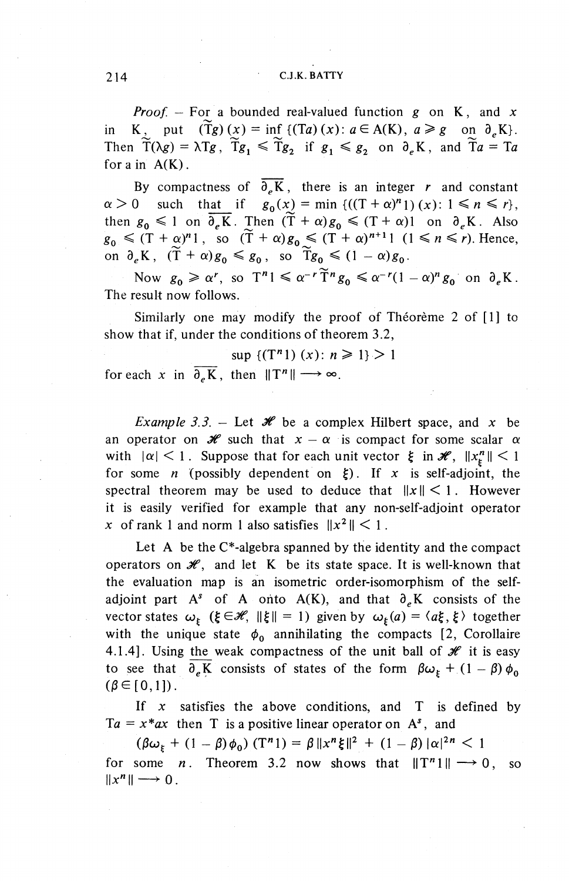#### 214 C.J.K. BATTY

*Proof. —* For a bounded real-valued function *g* on K, and *x* in K, put  $(\widetilde{T}g)(x) = \inf \{ (Ta)(x): a \in A(K), a \geq g \text{ on } \partial_{\rho}K \}.$ Then  $\widetilde{T}(\lambda g) = \lambda Tg$ ,  $\widetilde{T}g_1 \leq \widetilde{T}g_2$  if  $g_1 \leq g_2$  on  $\partial_{\mu}K$ , and  $\widetilde{T}a = Ta$ for a in  $A(K)$ .

By compactness of  $\overline{\partial_e K}$ , there is an integer *r* and constant  $\alpha > 0$  such that if  $g_0(x) = \min \left\{ ((T + \alpha)^n) \right\} (x) : 1 \le n \le r \right\},$ then  $g_0 \le 1$  on  $\overline{\partial_e}$  K. Then  $(\widetilde{T} + \alpha)g_0 \le (T + \alpha)1$  on  $\partial_e$  K. Also  $g_0 \leq (T + \alpha)^n 1$ , so  $(\widetilde{T} + \alpha)g_0 \leq (T + \alpha)^{n+1} 1$   $(1 \leq n \leq r)$ . Hence,<br>on  $\partial_e K$ ,  $(\widetilde{T} + \alpha)g_0 \leq g_0$ , so  $\widetilde{T}g_0 \leq (1 - \alpha)g_0$ .

Now  $g_0 \ge \alpha^r$ , so  $T^n \le \alpha^{-r} \widetilde{T}^n g_0 \le \alpha^{-r} (1-\alpha)^n g_0$  on  $\partial_e K$ . The result now follows.

Similarly one may modify the proof of Théorème 2 of [1] to show that if, under the conditions of theorem 3.2,

 $\sup \{(T^n 1) (x): n \geq 1\} > 1$ 

for each x in  $\overline{\partial_e K}$ , then  $||T^n|| \longrightarrow \infty$ .

*Example 3.3.* – Let  $\mathcal{H}$  be a complex Hilbert space, and x be an operator on  $\mathcal{H}$  such that  $x - \alpha$  is compact for some scalar  $\alpha$ with  $|\alpha| < 1$ . Suppose that for each unit vector  $\xi$  in  $\mathcal{H}$ ,  $||x_{\xi}^{n}|| < 1$ for some *n* (possibly dependent on  $\xi$ ). If x is self-adjoint, the spectral theorem may be used to deduce that  $\|x\| \leq 1$ . However it is easily verified for example that any non-self-adjoint operator *x* of rank 1 and norm 1 also satisfies  $||x^2|| < 1$ .

Let A be the  $C^*$ -algebra spanned by the identity and the compact operators on  $\mathcal{H}$ , and let K be its state space. It is well-known that the evaluation map is an isometric order-isomorphism of the selfadjoint part  $A^s$  of A onto A(K), and that  $\partial_{\rho}K$  consists of the vector states  $\omega_{\xi}$  ( $\xi \in \mathcal{H}$ ,  $\|\xi\| = 1$ ) given by  $\omega_{\xi}(a) = \langle a\xi, \xi \rangle$  together with the unique state  $\phi_0$  annihilating the compacts [2, Corollaire 4.1.4]. Using the weak compactness of the unit ball of  $\mathcal H$  it is easy to see that  $\partial_e K$  consists of states of the form  $\beta \omega_k + (1 - \beta) \phi_0$  $(\beta \in [0,1]).$ 

If *x* satisfies the above conditions, and T is defined by  $Ta = x * ax$  then T is a positive linear operator on  $A^s$ , and

 $(\beta \omega_{\xi} + (1 - \beta)\phi_0)(T^n) = \beta ||x^n \xi||^2 + (1 - \beta)|\alpha|^{2n} < 1$ for some *n*. Theorem 3.2 now shows that  $||T^n|| \rightarrow 0$ , so  $||x^n|| \longrightarrow 0$ .